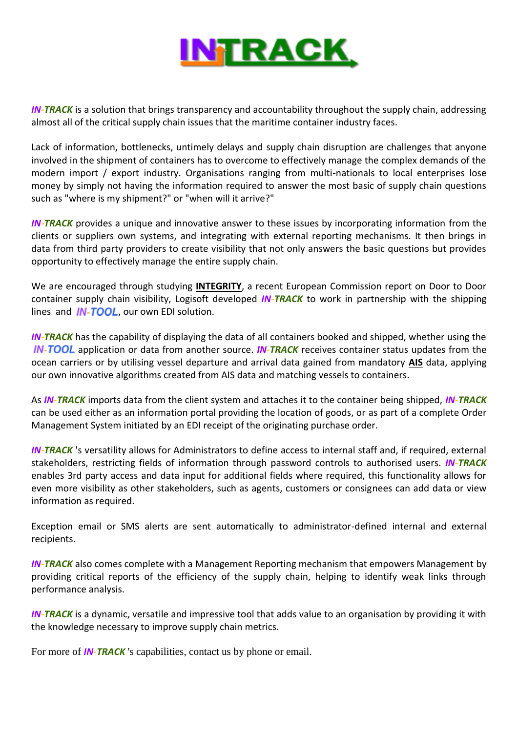

*IN-TRACK* is a solution that brings transparency and accountability throughout the supply chain, addressing almost all of the critical supply chain issues that the maritime container industry faces.

Lack of information, bottlenecks, untimely delays and supply chain disruption are challenges that anyone involved in the shipment of containers has to overcome to effectively manage the complex demands of the modern import / export industry. Organisations ranging from multi-nationals to local enterprises lose money by simply not having the information required to answer the most basic of supply chain questions such as "where is my shipment?" or "when will it arrive?"

**IN-TRACK** provides a unique and innovative answer to these issues by incorporating information from the clients or suppliers own systems, and integrating with external reporting mechanisms. It then brings in data from third party providers to create visibility that not only answers the basic questions but provides opportunity to effectively manage the entire supply chain.

We are encouraged through studying **[INTEGRITY](http://www.integrity-supplychain.eu/)**, a recent European Commission report on Door to Door container supply chain visibility, Logisoft developed *IN-TRACK* to work in partnership with the shipping lines and  $IN-TOOL$ , our own EDI solution.

**IN-TRACK** has the capability of displaying the data of all containers booked and shipped, whether using the **IN-TOOL** application or data from another source. **IN-TRACK** receives container status updates from the ocean carriers or by utilising vessel departure and arrival data gained from mandatory **[AIS](http://en.wikipedia.org/wiki/Automatic_Identification_System)** data, applying our own innovative algorithms created from AIS data and matching vessels to containers.

As *IN-TRACK* imports data from the client system and attaches it to the container being shipped, *IN-TRACK* can be used either as an information portal providing the location of goods, or as part of a complete Order Management System initiated by an EDI receipt of the originating purchase order.

*IN-TRACK* 's versatility allows for Administrators to define access to internal staff and, if required, external stakeholders, restricting fields of information through password controls to authorised users. *IN-TRACK* enables 3rd party access and data input for additional fields where required, this functionality allows for even more visibility as other stakeholders, such as agents, customers or consignees can add data or view information as required.

Exception email or SMS alerts are sent automatically to administrator-defined internal and external recipients.

**IN-TRACK** also comes complete with a Management Reporting mechanism that empowers Management by providing critical reports of the efficiency of the supply chain, helping to identify weak links through performance analysis.

*IN-TRACK* is a dynamic, versatile and impressive tool that adds value to an organisation by providing it with the knowledge necessary to improve supply chain metrics.

For more of *IN-TRACK* 's capabilities, contact us by phone or email.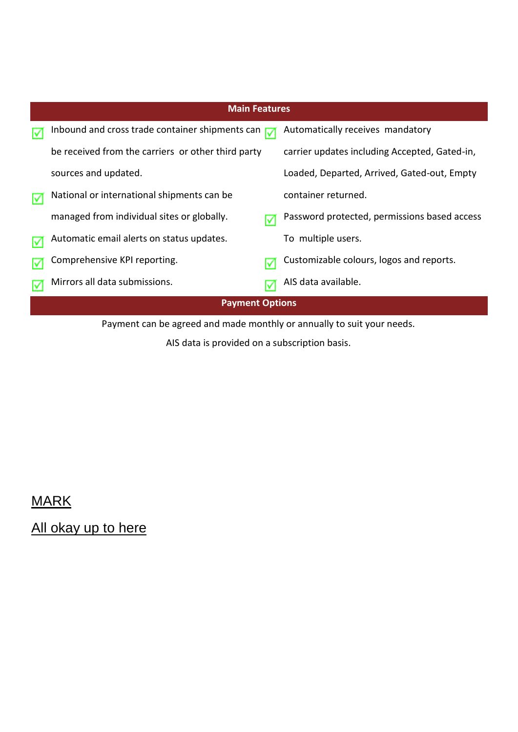|    | <b>Main Features</b>                                     |                                               |  |  |  |  |  |  |  |
|----|----------------------------------------------------------|-----------------------------------------------|--|--|--|--|--|--|--|
| Iv | Inbound and cross trade container shipments can $\nabla$ | Automatically receives mandatory              |  |  |  |  |  |  |  |
|    | be received from the carriers or other third party       | carrier updates including Accepted, Gated-in, |  |  |  |  |  |  |  |
|    | sources and updated.                                     | Loaded, Departed, Arrived, Gated-out, Empty   |  |  |  |  |  |  |  |
| lv | National or international shipments can be               | container returned.                           |  |  |  |  |  |  |  |
|    | managed from individual sites or globally.               | Password protected, permissions based access  |  |  |  |  |  |  |  |
|    | Automatic email alerts on status updates.                | To multiple users.                            |  |  |  |  |  |  |  |
|    | Comprehensive KPI reporting.                             | Customizable colours, logos and reports.      |  |  |  |  |  |  |  |
|    | Mirrors all data submissions.                            | AIS data available.                           |  |  |  |  |  |  |  |
|    | <b>Payment Options</b>                                   |                                               |  |  |  |  |  |  |  |

Payment can be agreed and made monthly or annually to suit your needs.

AIS data is provided on a subscription basis.

MARK

All okay up to here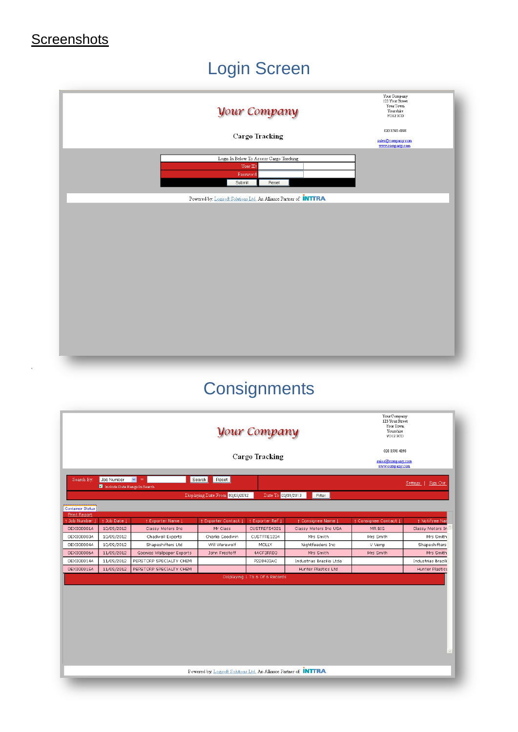#### **Screenshots**

### Login Screen

| <b><i>Your Company</i></b><br>Cargo Tracking<br>Login In Below To Access Cargo Tracking<br>User $ID$     | Your Company<br>123 Your Street<br>Your Town<br>Yourshire<br>YO12 3CD<br>020 8590 4898<br>sales@company.com<br>www.company.com |
|----------------------------------------------------------------------------------------------------------|--------------------------------------------------------------------------------------------------------------------------------|
| Password:<br>Submit<br>Reset<br>Powered by: Logisoft Solutions Ltd. An Alliance Partner of <b>INTTRA</b> |                                                                                                                                |
|                                                                                                          |                                                                                                                                |

# **Consignments**

|                                     |                                              | Your Company<br>123 Your Street<br>Your Town<br>Yourshire<br><b>YO12 3CD</b><br>020 8590 4898<br>sales@company.com<br>www.company.com |                                 |                                |                          |                       |                        |
|-------------------------------------|----------------------------------------------|---------------------------------------------------------------------------------------------------------------------------------------|---------------------------------|--------------------------------|--------------------------|-----------------------|------------------------|
|                                     |                                              |                                                                                                                                       |                                 |                                |                          |                       |                        |
| Search By:                          | Job Number v<br>Include Date Range In Search | $=$                                                                                                                                   | Reset<br>Search                 |                                |                          |                       | Settings   Sign Out    |
|                                     |                                              |                                                                                                                                       | Displaying Date From 03/07/2012 | Date To 03/01/2013             | Filter                   |                       |                        |
| <b>Container Status</b>             |                                              |                                                                                                                                       |                                 |                                |                          |                       |                        |
| <b>Print Report</b><br>Job Number J | 1 Job Date J                                 | † Exporter Name J                                                                                                                     | 1 Exporter Contact J            | † Exporter Ref J               | † Consignee Name         | 1 Consignee Contact J | t Notifyee Nar         |
| OEX000001A                          | 10/09/2012                                   | Classy Motors Inc                                                                                                                     | Mr Class                        | CUSTREF54321                   | Classy Motors Inc USA    | MR BIG                | Classy Motors In       |
| OEX000003A                          | 10/09/2012                                   | Chadwell Exports                                                                                                                      | Charlie Goodwin                 | CUSTFRE1234                    | Mrs Smith                | Mrs Smith             | Mrs Smith              |
| OEX000004A                          | 10/09/2012                                   | Shapeshifters Ltd                                                                                                                     | Will Werewolf                   | MOLLY                          | Nightfeeders Inc.        | V Vemp                | Shapeshifters          |
| OEX000006A                          | 11/09/2012                                   | Goonies Wallpaper Exports                                                                                                             | John Frestoff                   | 4ACF3RRD3                      | Mrs Smith                | Mrs Smith             | Mrs Smith              |
| OEX000014A                          | 11/09/2012                                   | PERSTORP SPECIALTY CHEM                                                                                                               |                                 | P228403AC                      | Industrias Brazilia Ltda |                       | Industrias Brazili     |
| OEX000015A                          | 11/09/2012                                   | PERSTORP SPECIALTY CHEM                                                                                                               |                                 |                                | Hunter Plastics Ltd      |                       | <b>Hunter Plastics</b> |
|                                     |                                              |                                                                                                                                       |                                 | Displaying 1 To 6 Of 6 Records |                          |                       |                        |
|                                     |                                              |                                                                                                                                       |                                 |                                |                          |                       |                        |
|                                     |                                              |                                                                                                                                       |                                 |                                |                          |                       |                        |